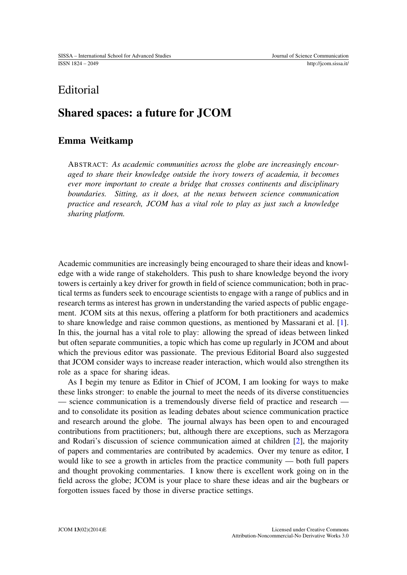# **Editorial**

# Shared spaces: a future for JCOM

## Emma Weitkamp

ABSTRACT: *As academic communities across the globe are increasingly encouraged to share their knowledge outside the ivory towers of academia, it becomes ever more important to create a bridge that crosses continents and disciplinary boundaries. Sitting, as it does, at the nexus between science communication practice and research, JCOM has a vital role to play as just such a knowledge sharing platform.*

Academic communities are increasingly being encouraged to share their ideas and knowledge with a wide range of stakeholders. This push to share knowledge beyond the ivory towers is certainly a key driver for growth in field of science communication; both in practical terms as funders seek to encourage scientists to engage with a range of publics and in research terms as interest has grown in understanding the varied aspects of public engagement. JCOM sits at this nexus, offering a platform for both practitioners and academics to share knowledge and raise common questions, as mentioned by Massarani et al. [\[1\]](#page-1-0). In this, the journal has a vital role to play: allowing the spread of ideas between linked but often separate communities, a topic which has come up regularly in JCOM and about which the previous editor was passionate. The previous Editorial Board also suggested that JCOM consider ways to increase reader interaction, which would also strengthen its role as a space for sharing ideas.

As I begin my tenure as Editor in Chief of JCOM, I am looking for ways to make these links stronger: to enable the journal to meet the needs of its diverse constituencies — science communication is a tremendously diverse field of practice and research and to consolidate its position as leading debates about science communication practice and research around the globe. The journal always has been open to and encouraged contributions from practitioners; but, although there are exceptions, such as Merzagora and Rodari's discussion of science communication aimed at children [\[2\]](#page-1-1), the majority of papers and commentaries are contributed by academics. Over my tenure as editor, I would like to see a growth in articles from the practice community — both full papers and thought provoking commentaries. I know there is excellent work going on in the field across the globe; JCOM is your place to share these ideas and air the bugbears or forgotten issues faced by those in diverse practice settings.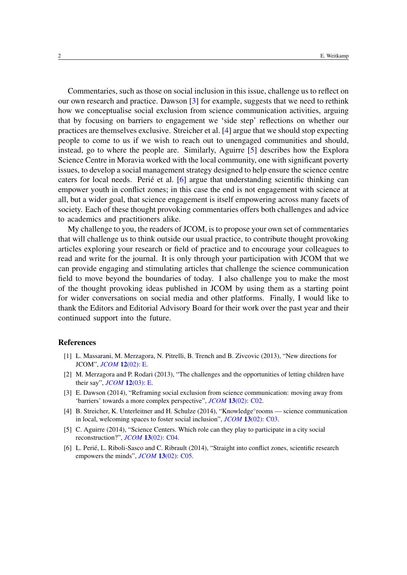Commentaries, such as those on social inclusion in this issue, challenge us to reflect on our own research and practice. Dawson [\[3\]](#page-1-2) for example, suggests that we need to rethink how we conceptualise social exclusion from science communication activities, arguing that by focusing on barriers to engagement we 'side step' reflections on whether our practices are themselves exclusive. Streicher et al. [\[4\]](#page-1-3) argue that we should stop expecting people to come to us if we wish to reach out to unengaged communities and should, instead, go to where the people are. Similarly, Aguirre [\[5\]](#page-1-4) describes how the Explora Science Centre in Moravia worked with the local community, one with significant poverty issues, to develop a social management strategy designed to help ensure the science centre caters for local needs. Perie et al.  $[6]$  $[6]$  argue that understanding scientific thinking can empower youth in conflict zones; in this case the end is not engagement with science at all, but a wider goal, that science engagement is itself empowering across many facets of society. Each of these thought provoking commentaries offers both challenges and advice to academics and practitioners alike.

My challenge to you, the readers of JCOM, is to propose your own set of commentaries that will challenge us to think outside our usual practice, to contribute thought provoking articles exploring your research or field of practice and to encourage your colleagues to read and write for the journal. It is only through your participation with JCOM that we can provide engaging and stimulating articles that challenge the science communication field to move beyond the boundaries of today. I also challenge you to make the most of the thought provoking ideas published in JCOM by using them as a starting point for wider conversations on social media and other platforms. Finally, I would like to thank the Editors and Editorial Advisory Board for their work over the past year and their continued support into the future.

#### **References**

- <span id="page-1-0"></span>[1] L. Massarani, M. Merzagora, N. Pitrelli, B. Trench and B. Zivcovic (2013), "New directions for JCOM", *JCOM* 12[\(02\): E.](http://jcom.sissa.it/archive/12/02/JCOM1202%282013%29E/)
- <span id="page-1-1"></span>[2] M. Merzagora and P. Rodari (2013), "The challenges and the opportunities of letting children have their say", *JCOM* 12[\(03\): E.](http://jcom.sissa.it/archive/12/3-4/JCOM1203%282013%29E/)
- <span id="page-1-2"></span>[3] E. Dawson (2014), "Reframing social exclusion from science communication: moving away from 'barriers' towards a more complex perspective", *JCOM* 13[\(02\): C02.](http://jcom.sissa.it/archive/13/02/JCOM_1302_2014_C01/JCOM_1302_2014_C02)
- <span id="page-1-3"></span>[4] B. Streicher, K. Unterleitner and H. Schulze (2014), "Knowledge°rooms — science communication in local, welcoming spaces to foster social inclusion", *JCOM* 13[\(02\): C03.](http://jcom.sissa.it/archive/13/02/JCOM_1302_2014_C01/JCOM_1302_2014_C03)
- <span id="page-1-4"></span>[5] C. Aguirre (2014), "Science Centers. Which role can they play to participate in a city social reconstruction?", *JCOM* 13[\(02\): C04.](http://jcom.sissa.it/archive/13/02/JCOM_1302_2014_C01/JCOM_1302_2014_C04)
- <span id="page-1-5"></span>[6] L. Perié, L. Riboli-Sasco and C. Ribrault (2014), "Straight into conflict zones, scientific research empowers the minds", *JCOM* 13[\(02\): C05.](http://jcom.sissa.it/archive/13/02/JCOM_1302_2014_C01/JCOM_1302_2014_C05)